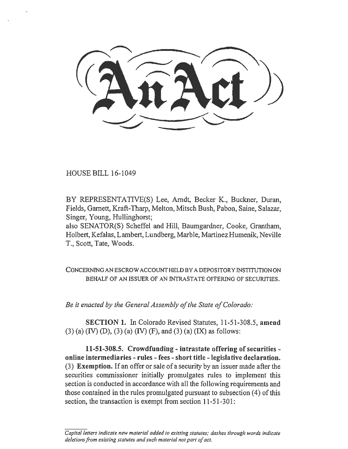HOUSE BILL 16-1049

BY REPRESENTATIVE(S) Lee, Arndt, Becker K., Buckner, Duran, Fields, Garnett, Kraft-Tharp, Melton, Mitsch Bush, Pabon, Saine, Salazar, Singer, Young, Hullinghorst;

also SENATOR(S) Scheffel and Hill, Baumgardner, Cooke, Grantham, Holbert, Kefalas, Lambert, Lundberg, Marble, Martinez Humenik, Neville T., Scott, Tate, Woods.

CONCERNING AN ESCROW ACCOUNT HELD BY A DEPOSITORY INSTITUTION ON BEHALF OF AN ISSUER OF AN INTRASTATE OFFERING OF SECURITIES.

*Be it enacted by the General Assembly of the State of Colorado:* 

SECTION 1. In Colorado Revised Statutes, 11-51-308.5, amend  $(3)$  (a) (IV) (D), (3) (a) (IV) (F), and (3) (a) (IX) as follows:

11-51-308.5. Crowdfunding- intrastate offering of securitiesonline intermediaries - rules - fees -short title -legislative declaration. (3) Exemption. If an offer or sale of a security by an issuer made after the securities commissioner initially promulgates rules to implement this section is conducted in accordance with all the following requirements and those contained in the rules promulgated pursuant to subsection (4) of this section, the transaction is exempt from section 11-51-301:

Capital letters indicate new material added to existing statutes; dashes through words indicate *deletions from existing statutes and such material not part of act.*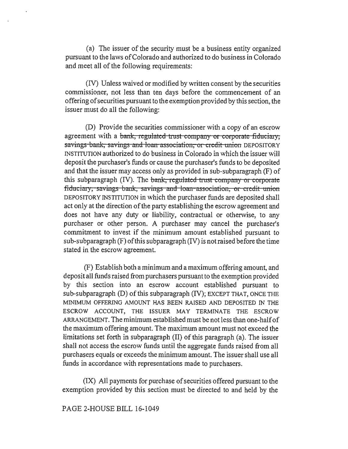(a) The issuer of the security must be a business entity organized pursuant to the laws of Colorado and authorized to do business in Colorado and meet all of the following requirements:

(IV) Unless waived or modified by written consent by the securities commissioner, not less than ten days before the commencement of an offering of securities pursuant to the exemption provided by this section, the issuer must do all the following:

(D) Provide the securities commissioner with a copy of an escrow agreement with a bank, regulated trust company or corporate fiduciary, savings bank, savings and loan association, or credit union DEPOSITORY INSTITUTION authorized to do business in Colorado in which the issuer will deposit the purchaser's funds or cause the purchaser's funds to be deposited and that the issuer may access only as provided in sub-subparagraph (F) of this subparagraph  $(IV)$ . The bank, regulated trust company or corporate fiduciary; savings bank, savings and loan association, or credit union DEPOSITORY INSTITUTION in which the purchaser funds are deposited shall act only at the direction of the party establishing the escrow agreement and does not have any duty or liability, contractual or otherwise, to any purchaser or other person. A purchaser may cancel the purchaser's commitment to invest if the minimum amount established pursuant to sub-subparagraph (F) of this subparagraph (IV) is not raised before the time stated in the escrow agreement.

(F) Establish both a minimum and a maximum offering amount, and deposit all funds raised from purchasers pursuant to the exemption provided by this section into an escrow account established pursuant to sub-subparagraph (D) of this subparagraph (IV); EXCEPT THAT, ONCE THE MINIMUM OFFERING AMOUNT HAS BEEN RAISED AND DEPOSITED IN THE ESCROW ACCOUNT, THE ISSUER MAY TERMINATE THE ESCROW ARRANGEMENT. The minimum established must be not less than one-half of the maximum offering amount. The maximum amount must not exceed the limitations set forth in subparagraph (II) of this paragraph (a). The issuer shall not access the escrow funds until the aggregate funds raised from all purchasers equals or exceeds the minimum amount. The issuer shall use all funds in accordance with representations made to purchasers.

(IX) All payments for purchase of securities offered pursuant to the exemption provided by this section must be directed to and held by the

PAGE 2-HOUSE BILL 16-1049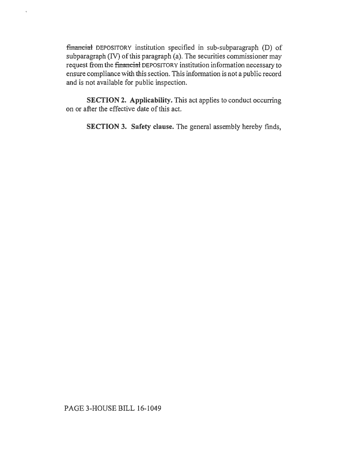financial DEPOSITORY institution specified in sub-subparagraph (D) of subparagraph (IV) of this paragraph (a). The securities commissioner may request from the financial DEPOSITORY institution information necessary to ensure compliance with this section. This information is not a public record and is not available for public inspection.

 $\bar{\mathbf{r}}$ 

SECTION 2. Applicability. This act applies to conduct occurring on or after the effective date of this act.

SECTION 3. Safety clause. The general assembly hereby finds,